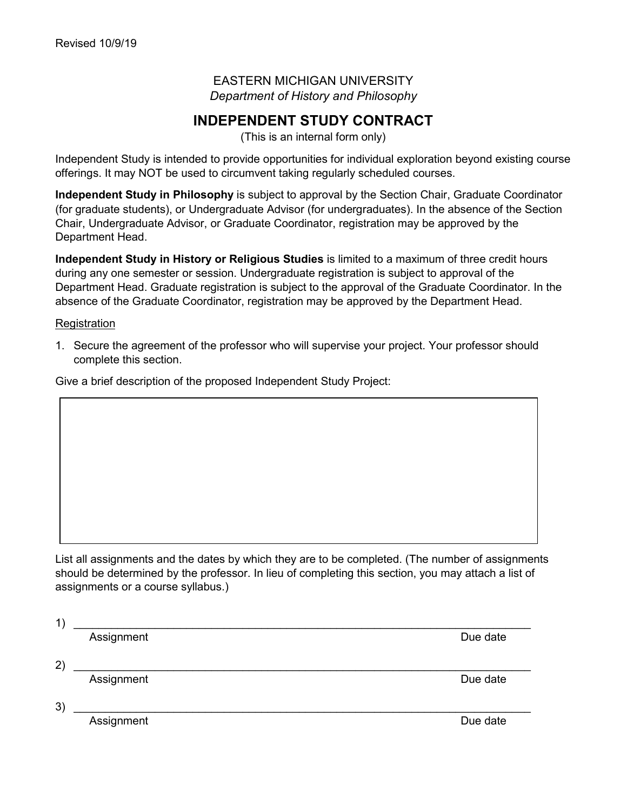EASTERN MICHIGAN UNIVERSITY *Department of History and Philosophy*

## **INDEPENDENT STUDY CONTRACT**

(This is an internal form only)

Independent Study is intended to provide opportunities for individual exploration beyond existing course offerings. It may NOT be used to circumvent taking regularly scheduled courses.

**Independent Study in Philosophy** is subject to approval by the Section Chair, Graduate Coordinator (for graduate students), or Undergraduate Advisor (for undergraduates). In the absence of the Section Chair, Undergraduate Advisor, or Graduate Coordinator, registration may be approved by the Department Head.

**Independent Study in History or Religious Studies** is limited to a maximum of three credit hours during any one semester or session. Undergraduate registration is subject to approval of the Department Head. Graduate registration is subject to the approval of the Graduate Coordinator. In the absence of the Graduate Coordinator, registration may be approved by the Department Head.

## **Registration**

1. Secure the agreement of the professor who will supervise your project. Your professor should complete this section.

Give a brief description of the proposed Independent Study Project:

List all assignments and the dates by which they are to be completed. (The number of assignments should be determined by the professor. In lieu of completing this section, you may attach a list of assignments or a course syllabus.)

| 1,              |            |          |
|-----------------|------------|----------|
|                 | Assignment | Due date |
|                 |            |          |
| $\overline{2})$ |            |          |
|                 | Assignment | Due date |
|                 |            |          |
| 3)              |            |          |
|                 | Assignment | Due date |
|                 |            |          |
|                 |            |          |